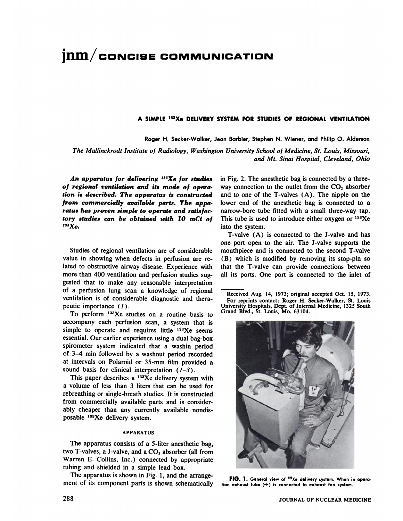# $\boldsymbol{\mathsf{inm}}/\boldsymbol{\mathsf{concise}}$  **COMMUNICATION**

### **A SIMPLE 1@X0 DELIVERY SYSTEM FOR STUDIES OF REGIONAL VENTILATION**

Roger H. Secker-Walker, Jean Barbier, Stephen N. Wiener, and Philip 0. Alderson

The Mallinckrodt institute of Radiology, Washington University School of Medicine, St. Louis, Missouri, *and Mt. Sinai Hospital, Cleveland, Ohio*

*An apparatus for delivering 133Xe for studies of regional ventilation and its mode of opera tion is described. The apparatus is constructed from commercially available parts. The appa ratus has proven simple to operate and sails fac tory studies can be obtained with 10 mCi of 133Xe.*

Studies of regional ventilation are of considerable value in showing when defects in perfusion are re lated to obstructive airway disease. Experience with more than 400 ventilation and perfusion studies sug gested that to make any reasonable interpretation of a perfusion lung scan a knowledge of regional ventilation is of considerable diagnostic and thera peutic importance (1).

**To perform 133Xe studies on a routine basis to** accompany each perfusion scan, a system that is simple to operate and requires little  $133Xe$  seems essential. Our earlier experience using a dual bag-box spirometer system indicated that a washin period of 3—4mm followed by a washout period recorded at intervals on Polaroid or 35-mm film provided a sound basis for clinical interpretation  $(1-3)$ .

This paper describes a  $133Xe$  delivery system with a volume of less than 3 liters that can be used for rebreathing or single-breath studies. It is constructed from commercially available parts and is consider ably cheaper than any currently available nondis posable 133Xe delivery system.

#### **APPARATUS**

The apparatus consists of a 5-liter anesthetic bag, two T-valves, a J-valve, and a  $CO<sub>2</sub>$  absorber (all from Warren E. Collins, Inc.) connected by appropriate tubing and shielded in a simple lead box.

The apparatus is shown in Fig. 1, and the arrange ment of its component parts is shown schematically in Fig.2. The anesthetic bag is connected by a three way connection to the outlet from the  $CO<sub>2</sub>$  absorber and to one of the  $T$ -valves  $(A)$ . The nipple on the lower end of the anesthetic bag is connected to a narrow-bore tube fitted with a small three-way tap. This tube is used to introduce either oxygen or  $138Xe$ into the system.

T-valve (A) is connected to the J-valve and has one port open to the air. The J-valve supports the mouthpiece and is connected to the second T-valve (B) which is modified by removing its stop-pin so that the T-valve can provide connections between all its ports. One port is connected to the inlet of

Received Aug. 14, 1973; original accepted Oct. 15, 1973. **For reprints contact: Roger H. Seeker-Walker, St. Louis** University Hospitals, Dept. of Internal Medicine, 1325 South Grand Blvd., St. Louis, Mo. 63104.



FIG. 1. General view of <sup>133</sup>Xe delivery system. When in opera**tion exhaust tube (-+) is connectedto exhaust fan system.**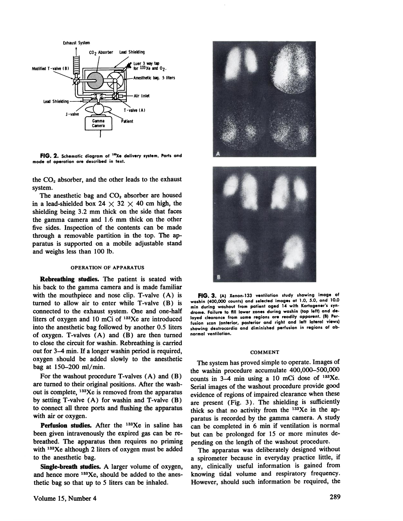

FIG. 2. Schematic diagram of <sup>133</sup>Xe delivery system. Parts and **mode of operation are described in text.**

the CO, absorber, and the other leads to the exhaust system.

The anesthetic bag and CO<sub>2</sub> absorber are housed in a lead-shielded box 24  $\times$  32  $\times$  40 cm high, the shielding being 3.2 mm thick on the side that faces the gamma camera and 1.6 mm thick on the other five sides. Inspection of the contents can be made through a removable partition in the top. The ap paratus is supported on a mobile adjustable stand and weighs less than 100 lb.

#### OPERATION OF APPARATUS

**Rebreathing studies. The patient is seated with** his back to the gamma camera and is made familiar with the mouthpiece and nose clip. T-valve  $(A)$  is turned to allow air to enter while T-valve (B) is connected to the exhaust system. One and one-half liters of oxygen and 10 mCi of 133Xe are introduced into the anesthetic bag followed by another 0.5 liters of oxygen. T-valves (A) and (B) are then turned to close the circuit for washin. Rebreathing is carried out for 3—4mm. If a longer washin period is required, oxygen should be added slowly to the anesthetic bag at 150–200 ml/min.

For the washout procedure T-valves (A) and (B) are turned to their original positions. After the wash out is complete, 133Xe is removed from the apparatus by setting T-valve (A) for washin and T-valve (B) to connect all three ports and flushing the apparatus with air or oxygen.

Perfusion studies. After the <sup>133</sup>Xe in saline has been given intravenously the expired gas can be re breathed. The apparatus then requires no priming with <sup>133</sup>Xe although 2 liters of oxygen must be added to the anesthetic bag.

Single-breath studies. A larger volume of oxygen, and hence more <sup>133</sup>Xe, should be added to the anesthetic bag so that up to 5 liters can be inhaled.





FIG. 3. (A) Xenon-133 ventilation study showing image of **washin (400,000 counts) and selected images at1.0, 5.0, and 10.0** min during washout from patient aged 14 with Kartagener's syn**drome. Failure to fIll lower zones during washin (top left) and de layed clearance from same regions are readily apparent. (B) Per fusion scan (anterior, posterior and right and leftlateral views) showing dextrocardia and diminished perfusion in regions ofab normal ventilation.**

#### COMMENT

The system has proved simple to operate. Images of the washin procedure accumulate 400,000—500,000 counts in  $3-4$  min using a 10 mCi dose of  $133$ Xe. Serial images of the washout procedure provide good evidence of regions of impaired clearance when these are present (Fig. 3). The shielding is sufficiently thick so that no activity from the <sup>133</sup>Xe in the apparatus is recorded by the gamma camera. A study can be completed in 6 min if ventilation is normal but can be prolonged for 15 or more minutes de pending on the length of the washout procedure.

The apparatus was deliberately designed without a spirometer because in everyday practice little, if any, clinically useful information is gained from knowing tidal volume and respiratory frequency. However, should such information be required, the